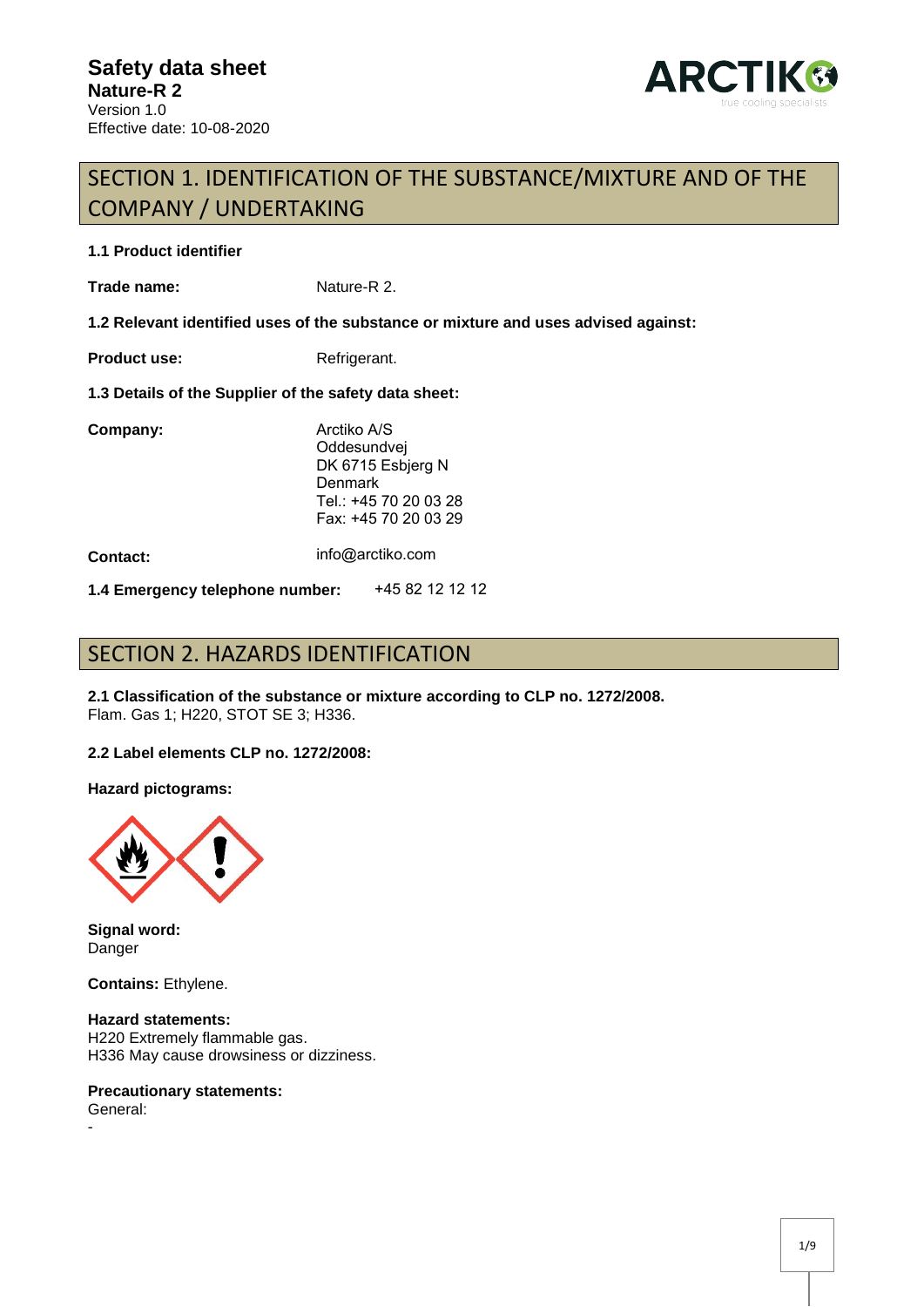

# SECTION 1. IDENTIFICATION OF THE SUBSTANCE/MIXTURE AND OF THE COMPANY / UNDERTAKING

#### **1.1 Product identifier**

**Trade name:** Nature-R 2.

**1.2 Relevant identified uses of the substance or mixture and uses advised against:** 

**Product use:** Refrigerant.

**1.3 Details of the Supplier of the safety data sheet:** 

| Company:                        |  | Arctiko A/S<br>Oddesundvej<br>DK 6715 Esbjerg N<br>Denmark<br>Tel.: +45 70 20 03 28<br>Fax: +45 70 20 03 29 |  |
|---------------------------------|--|-------------------------------------------------------------------------------------------------------------|--|
| <b>Contact:</b>                 |  | info@arctiko.com                                                                                            |  |
| 1.4 Emergency telephone number: |  | +45 82 12 12 12                                                                                             |  |

# SECTION 2. HAZARDS IDENTIFICATION

**2.1 Classification of the substance or mixture according to CLP no. 1272/2008.**  Flam. Gas 1; H220, STOT SE 3; H336.

#### **2.2 Label elements CLP no. 1272/2008:**

**Hazard pictograms:** 



**Signal word:**  Danger

**Contains:** Ethylene.

**Hazard statements:**  H220 Extremely flammable gas. H336 May cause drowsiness or dizziness.

#### **Precautionary statements:**

General: -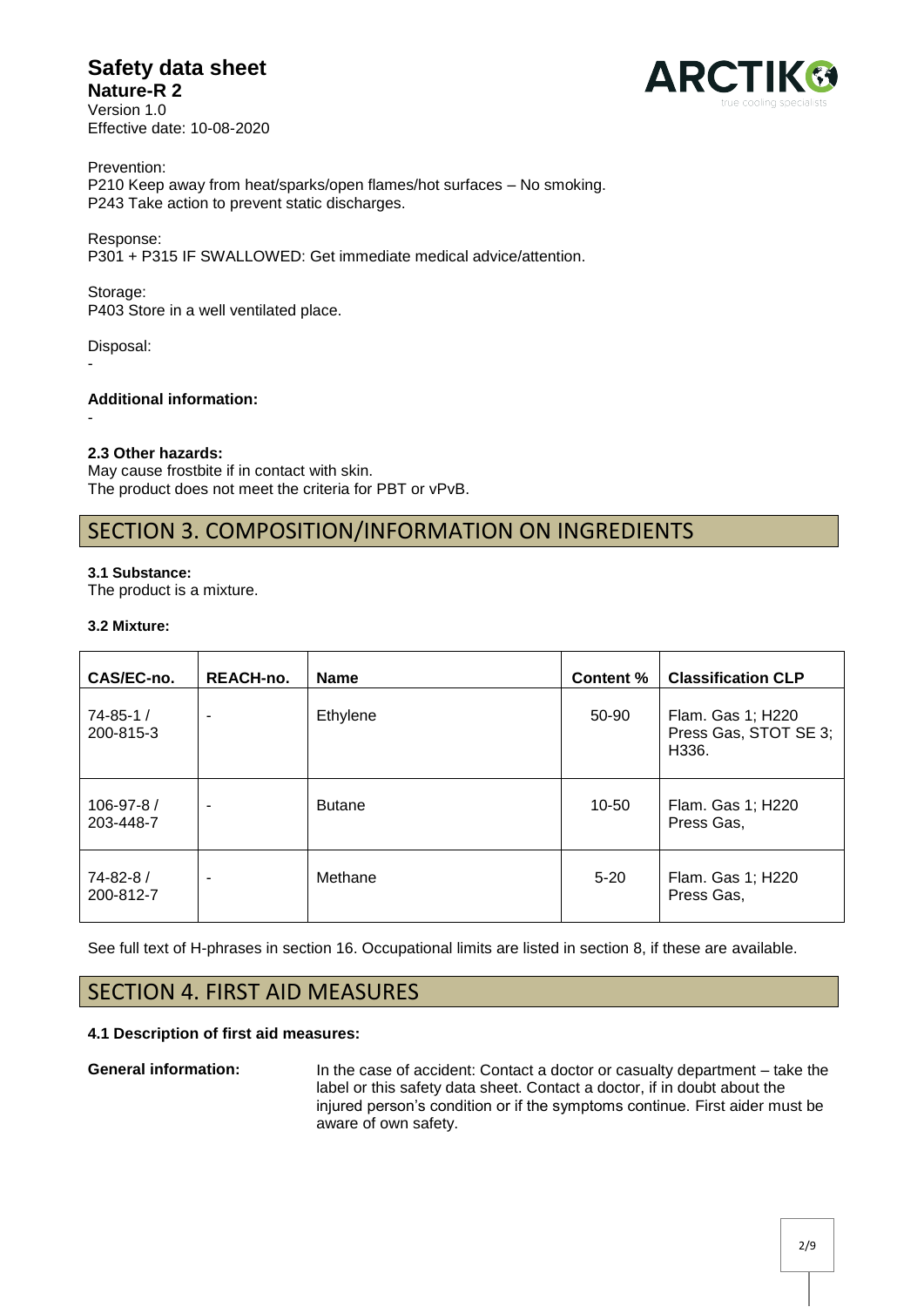# **Safety data sheet Nature-R 2**

Version 1.0 Effective date: 10-08-2020



Prevention: P210 Keep away from heat/sparks/open flames/hot surfaces – No smoking. P243 Take action to prevent static discharges.

Response:

P301 + P315 IF SWALLOWED: Get immediate medical advice/attention.

Storage:

P403 Store in a well ventilated place.

Disposal:

-

-

**Additional information:** 

**2.3 Other hazards:** 

May cause frostbite if in contact with skin. The product does not meet the criteria for PBT or vPvB.

# SECTION 3. COMPOSITION/INFORMATION ON INGREDIENTS

#### **3.1 Substance:**

The product is a mixture.

#### **3.2 Mixture:**

| CAS/EC-no.                  | <b>REACH-no.</b>         | <b>Name</b>   | <b>Content %</b> | <b>Classification CLP</b>                           |
|-----------------------------|--------------------------|---------------|------------------|-----------------------------------------------------|
| $74 - 85 - 1/$<br>200-815-3 | ٠                        | Ethylene      | 50-90            | Flam. Gas 1; H220<br>Press Gas, STOT SE 3;<br>H336. |
| 106-97-8 /<br>203-448-7     | $\overline{\phantom{a}}$ | <b>Butane</b> | $10 - 50$        | Flam. Gas 1; H220<br>Press Gas,                     |
| 74-82-8 /<br>200-812-7      | ٠                        | Methane       | $5 - 20$         | Flam. Gas 1; H220<br>Press Gas,                     |

See full text of H-phrases in section 16. Occupational limits are listed in section 8, if these are available.

# SECTION 4. FIRST AID MEASURES

#### **4.1 Description of first aid measures:**

**General information:** In the case of accident: Contact a doctor or casualty department – take the label or this safety data sheet. Contact a doctor, if in doubt about the injured person's condition or if the symptoms continue. First aider must be aware of own safety.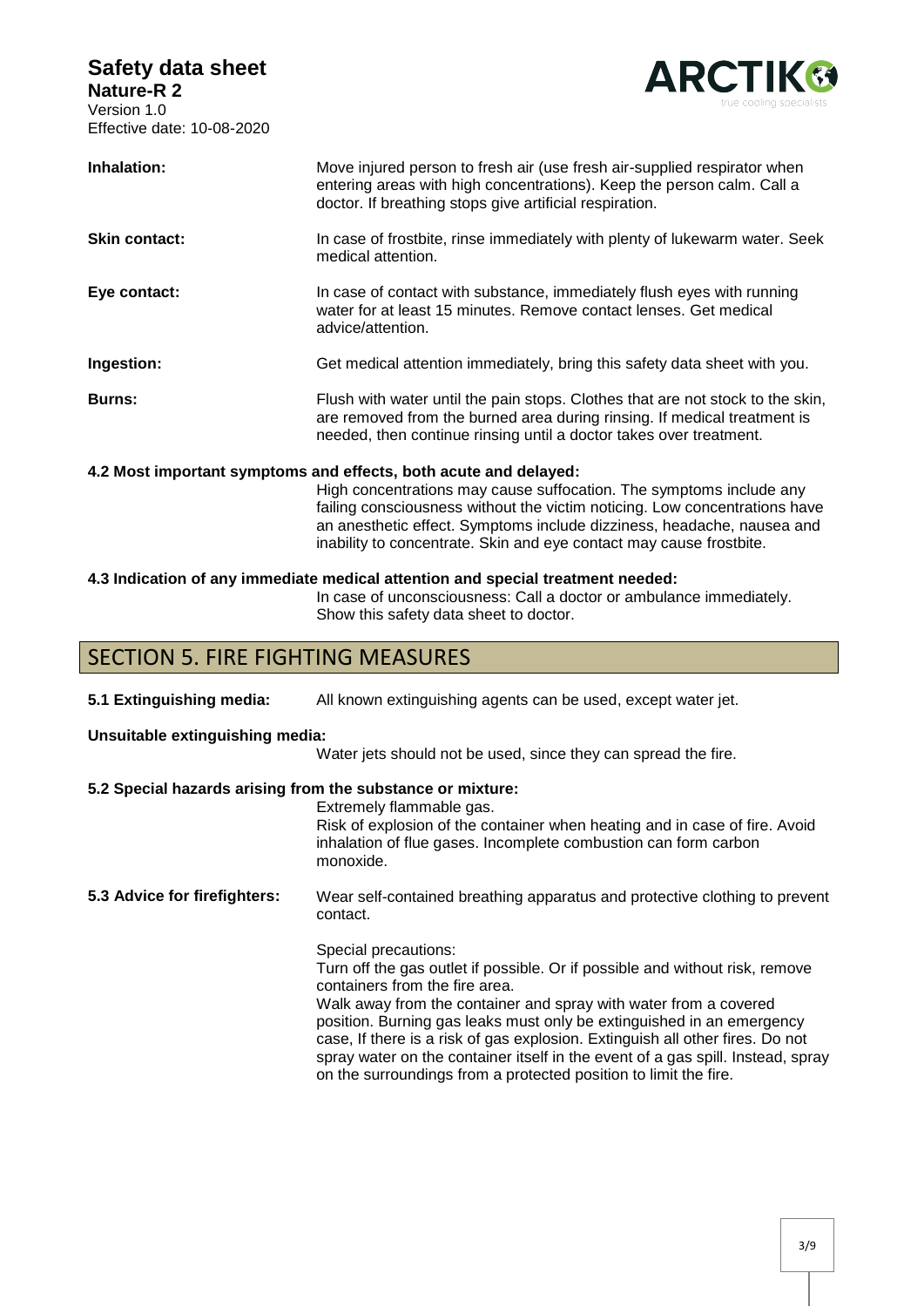

| Inhalation:                                                      | Move injured person to fresh air (use fresh air-supplied respirator when<br>entering areas with high concentrations). Keep the person calm. Call a<br>doctor. If breathing stops give artificial respiration.                    |  |
|------------------------------------------------------------------|----------------------------------------------------------------------------------------------------------------------------------------------------------------------------------------------------------------------------------|--|
| <b>Skin contact:</b>                                             | In case of frostbite, rinse immediately with plenty of lukewarm water. Seek<br>medical attention.                                                                                                                                |  |
| Eye contact:                                                     | In case of contact with substance, immediately flush eyes with running<br>water for at least 15 minutes. Remove contact lenses. Get medical<br>advice/attention.                                                                 |  |
| Ingestion:                                                       | Get medical attention immediately, bring this safety data sheet with you.                                                                                                                                                        |  |
| <b>Burns:</b>                                                    | Flush with water until the pain stops. Clothes that are not stock to the skin,<br>are removed from the burned area during rinsing. If medical treatment is<br>needed, then continue rinsing until a doctor takes over treatment. |  |
| 4.2 Most important symptoms and effects, both acute and delayed: |                                                                                                                                                                                                                                  |  |
|                                                                  | High concentrations may cause suffocation. The symptoms include any<br>failing consciousness without the victim noticing. Low concentrations have<br>an anesthetic effect. Symptoms include dizziness, headache, nausea and      |  |

#### **4.3 Indication of any immediate medical attention and special treatment needed:**

In case of unconsciousness: Call a doctor or ambulance immediately. Show this safety data sheet to doctor.

inability to concentrate. Skin and eye contact may cause frostbite.

### SECTION 5. FIRE FIGHTING MEASURES

**5.1 Extinguishing media:** All known extinguishing agents can be used, except water jet.

#### **Unsuitable extinguishing media:**

Water jets should not be used, since they can spread the fire.

#### **5.2 Special hazards arising from the substance or mixture:**

Extremely flammable gas.

Risk of explosion of the container when heating and in case of fire. Avoid inhalation of flue gases. Incomplete combustion can form carbon monoxide.

**5.3 Advice for firefighters:** Wear self-contained breathing apparatus and protective clothing to prevent contact.

Special precautions:

Turn off the gas outlet if possible. Or if possible and without risk, remove containers from the fire area.

Walk away from the container and spray with water from a covered position. Burning gas leaks must only be extinguished in an emergency case, If there is a risk of gas explosion. Extinguish all other fires. Do not spray water on the container itself in the event of a gas spill. Instead, spray on the surroundings from a protected position to limit the fire.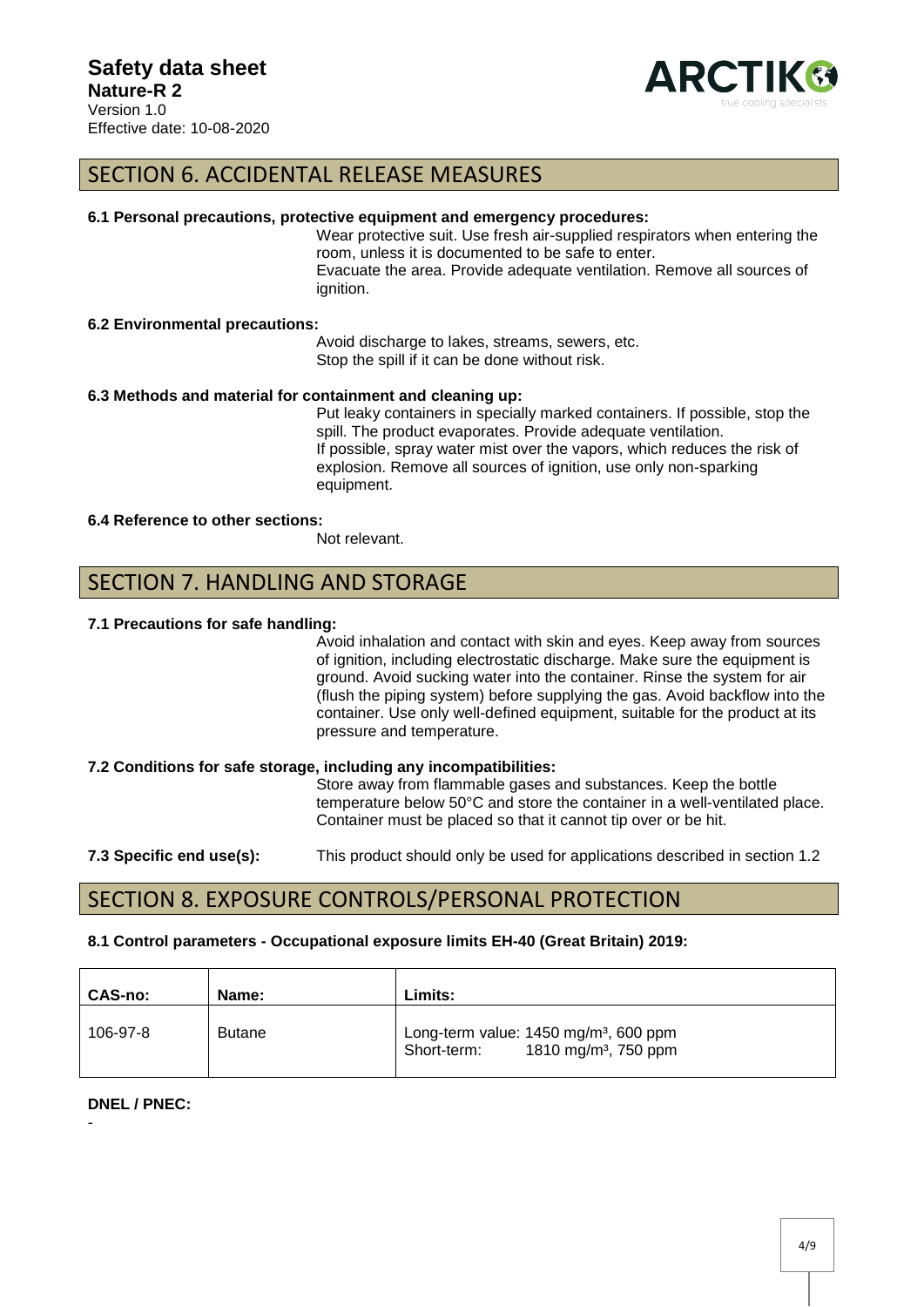

### SECTION 6. ACCIDENTAL RELEASE MEASURES

#### **6.1 Personal precautions, protective equipment and emergency procedures:**

Wear protective suit. Use fresh air-supplied respirators when entering the room, unless it is documented to be safe to enter. Evacuate the area. Provide adequate ventilation. Remove all sources of ignition.

#### **6.2 Environmental precautions:**

Avoid discharge to lakes, streams, sewers, etc. Stop the spill if it can be done without risk.

#### **6.3 Methods and material for containment and cleaning up:**

Put leaky containers in specially marked containers. If possible, stop the spill. The product evaporates. Provide adequate ventilation. If possible, spray water mist over the vapors, which reduces the risk of explosion. Remove all sources of ignition, use only non-sparking equipment.

#### **6.4 Reference to other sections:**

Not relevant.

### SECTION 7. HANDLING AND STORAGE

#### **7.1 Precautions for safe handling:**

Avoid inhalation and contact with skin and eyes. Keep away from sources of ignition, including electrostatic discharge. Make sure the equipment is ground. Avoid sucking water into the container. Rinse the system for air (flush the piping system) before supplying the gas. Avoid backflow into the container. Use only well-defined equipment, suitable for the product at its pressure and temperature.

#### **7.2 Conditions for safe storage, including any incompatibilities:**

Store away from flammable gases and substances. Keep the bottle temperature below 50°C and store the container in a well-ventilated place. Container must be placed so that it cannot tip over or be hit.

#### **7.3 Specific end use(s):** This product should only be used for applications described in section 1.2

### SECTION 8. EXPOSURE CONTROLS/PERSONAL PROTECTION

#### **8.1 Control parameters - Occupational exposure limits EH-40 (Great Britain) 2019:**

| <b>CAS-no:</b> | Name:         | Limits:                                                                                                |
|----------------|---------------|--------------------------------------------------------------------------------------------------------|
| 106-97-8       | <b>Butane</b> | Long-term value: $1450$ mg/m <sup>3</sup> , 600 ppm<br>1810 mg/m <sup>3</sup> , 750 ppm<br>Short-term: |

#### **DNEL / PNEC:**

-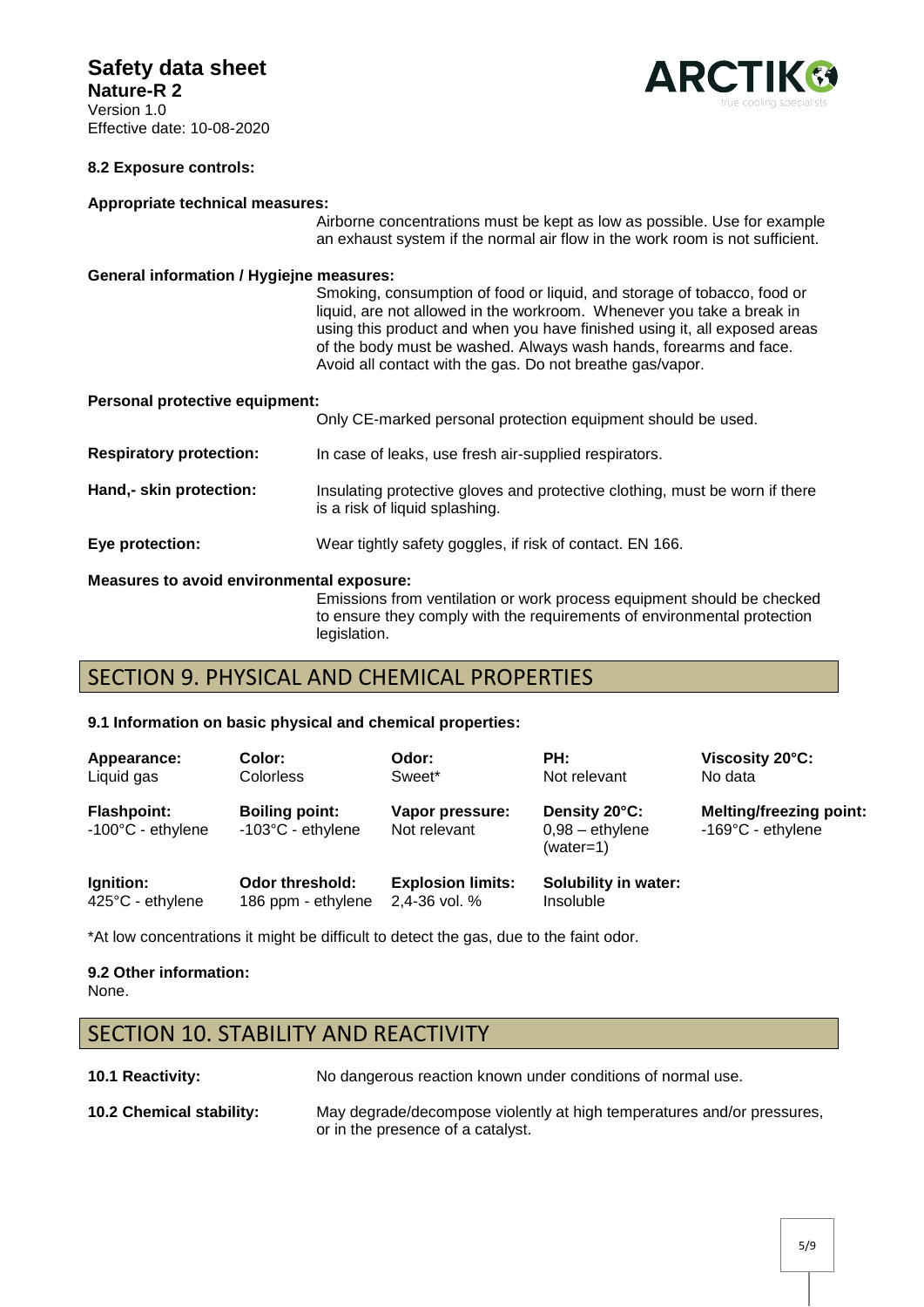## **Safety data sheet**

**Nature-R 2** Version 1.0 Effective date: 10-08-2020



#### **8.2 Exposure controls:**

#### **Appropriate technical measures:**

Airborne concentrations must be kept as low as possible. Use for example an exhaust system if the normal air flow in the work room is not sufficient.

#### **General information / Hygiejne measures:**

Smoking, consumption of food or liquid, and storage of tobacco, food or liquid, are not allowed in the workroom. Whenever you take a break in using this product and when you have finished using it, all exposed areas of the body must be washed. Always wash hands, forearms and face. Avoid all contact with the gas. Do not breathe gas/vapor.

| <b>Personal protective equipment:</b> |  |
|---------------------------------------|--|
|                                       |  |

| <b>Measures to avoid environmental exposure:</b> |                                                                                                               |  |
|--------------------------------------------------|---------------------------------------------------------------------------------------------------------------|--|
| Eye protection:                                  | Wear tightly safety goggles, if risk of contact. EN 166.                                                      |  |
| Hand,- skin protection:                          | Insulating protective gloves and protective clothing, must be worn if there<br>is a risk of liquid splashing. |  |
| <b>Respiratory protection:</b>                   | In case of leaks, use fresh air-supplied respirators.                                                         |  |
|                                                  | Only CE-marked personal protection equipment should be used.                                                  |  |

#### Emissions from ventilation or work process equipment should be checked to ensure they comply with the requirements of environmental protection legislation.

# SECTION 9. PHYSICAL AND CHEMICAL PROPERTIES

#### **9.1 Information on basic physical and chemical properties:**

| Appearance:                                       | Color:                                               | Odor:                           | PH:                                             | Viscosity 20°C:                                               |
|---------------------------------------------------|------------------------------------------------------|---------------------------------|-------------------------------------------------|---------------------------------------------------------------|
| Liquid gas                                        | <b>Colorless</b>                                     | Sweet*                          | Not relevant                                    | No data                                                       |
| <b>Flashpoint:</b><br>$-100^{\circ}$ C - ethylene | <b>Boiling point:</b><br>$-103^{\circ}$ C - ethylene | Vapor pressure:<br>Not relevant | Density 20°C:<br>$0,98 -$ ethylene<br>(water=1) | <b>Melting/freezing point:</b><br>$-169^{\circ}$ C - ethylene |
| Ignition:                                         | <b>Odor threshold:</b>                               | <b>Explosion limits:</b>        | <b>Solubility in water:</b>                     |                                                               |
| 425°C - ethylene                                  | 186 ppm - ethylene                                   | 2,4-36 vol. %                   | Insoluble                                       |                                                               |

\*At low concentrations it might be difficult to detect the gas, due to the faint odor.

#### **9.2 Other information:**  None.

### SECTION 10. STABILITY AND REACTIVITY

**10.1 Reactivity:** No dangerous reaction known under conditions of normal use.

**10.2 Chemical stability:** May degrade/decompose violently at high temperatures and/or pressures, or in the presence of a catalyst.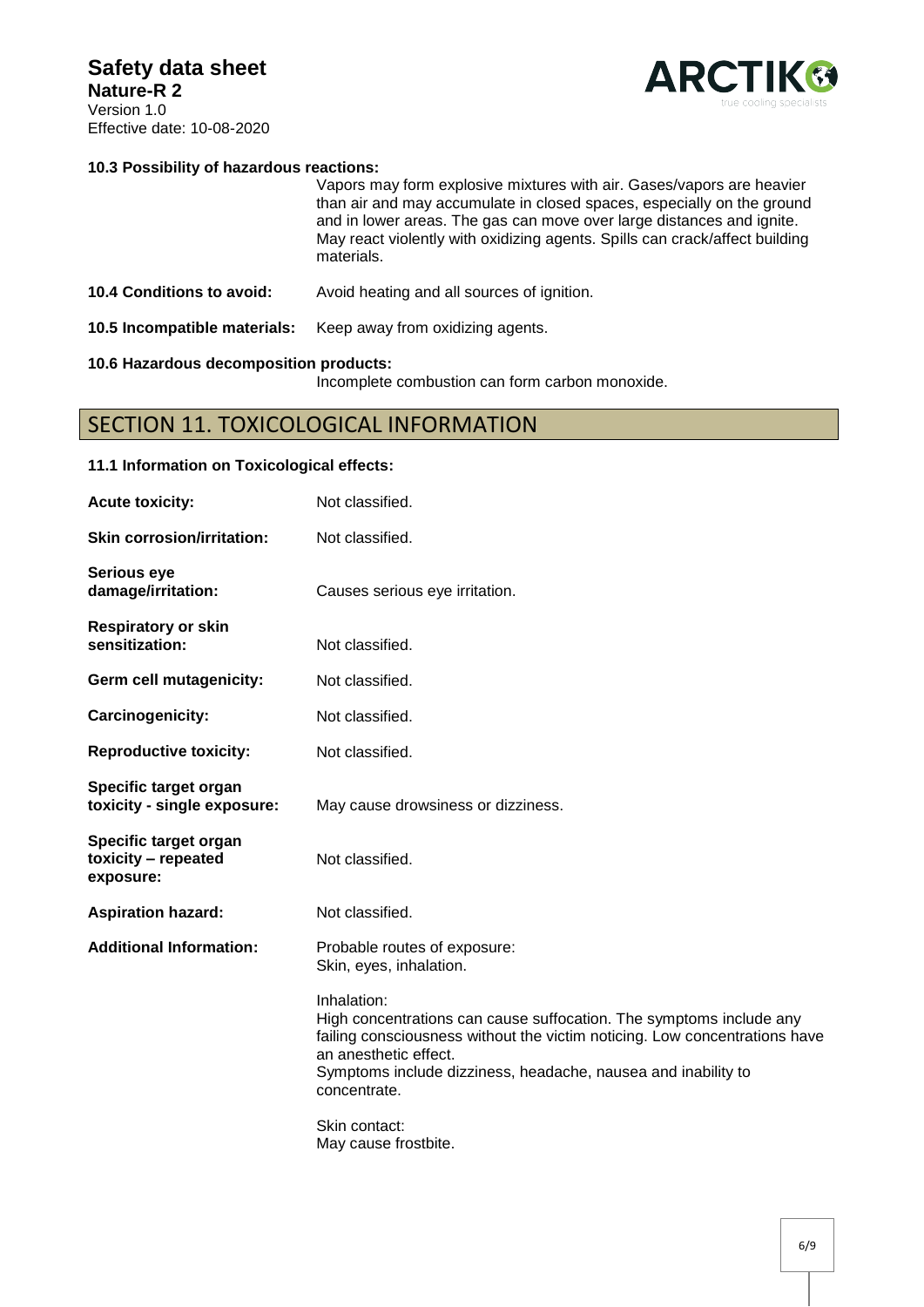

#### **10.3 Possibility of hazardous reactions:**

|                                  | Vapors may form explosive mixtures with air. Gases/vapors are heavier<br>than air and may accumulate in closed spaces, especially on the ground<br>and in lower areas. The gas can move over large distances and ignite.<br>May react violently with oxidizing agents. Spills can crack/affect building<br>materials. |
|----------------------------------|-----------------------------------------------------------------------------------------------------------------------------------------------------------------------------------------------------------------------------------------------------------------------------------------------------------------------|
| <b>10.4 Conditions to avoid:</b> | Avoid heating and all sources of ignition.                                                                                                                                                                                                                                                                            |
| 10.5 Incompatible materials:     | Keep away from oxidizing agents.                                                                                                                                                                                                                                                                                      |

#### **10.6 Hazardous decomposition products:**

**11.1 Information on Toxicological effects:** 

Incomplete combustion can form carbon monoxide.

### SECTION 11. TOXICOLOGICAL INFORMATION

# Acute toxicity: Not classified. **Skin corrosion/irritation:** Not classified. **Serious eye damage/irritation:** Causes serious eye irritation. **Respiratory or skin sensitization:** Not classified. **Germ cell mutagenicity:** Not classified. Carcinogenicity: Not classified. **Reproductive toxicity:** Not classified. **Specific target organ toxicity - single exposure:** May cause drowsiness or dizziness. **Specific target organ toxicity – repeated exposure:** Not classified. Aspiration hazard: Not classified. **Additional Information:** Probable routes of exposure: Skin, eyes, inhalation. Inhalation: High concentrations can cause suffocation. The symptoms include any failing consciousness without the victim noticing. Low concentrations have an anesthetic effect. Symptoms include dizziness, headache, nausea and inability to concentrate. Skin contact: May cause frostbite.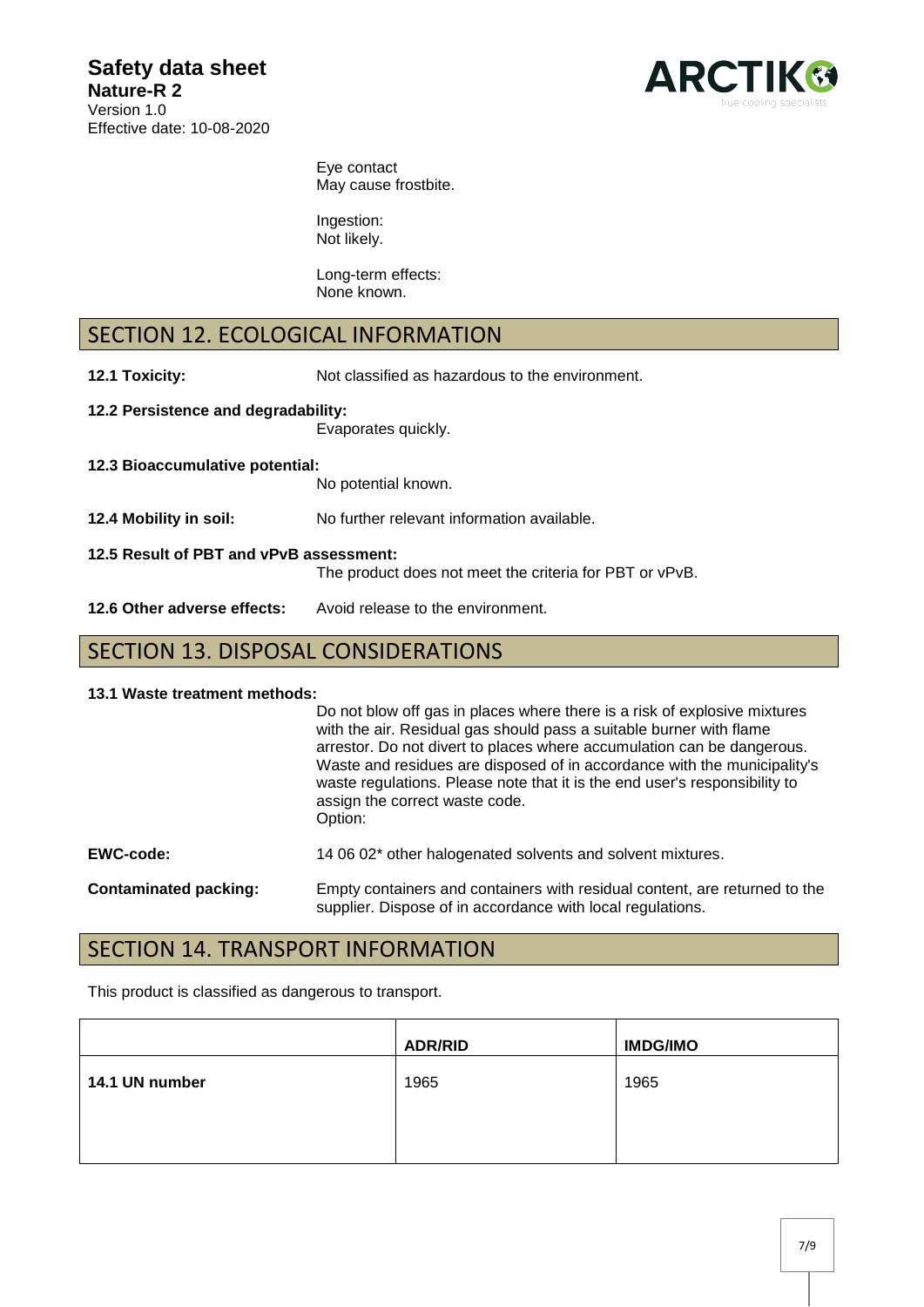

Eye contact May cause frostbite.

Ingestion: Not likely.

Long-term effects: None known.

# SECTION 12. ECOLOGICAL INFORMATION

**12.1 Toxicity:** Not classified as hazardous to the environment.

- **12.2 Persistence and degradability:**  Evaporates quickly.
- **12.3 Bioaccumulative potential:** No potential known. **12.4 Mobility in soil:** No further relevant information available. **12.5 Result of PBT and vPvB assessment:**  The product does not meet the criteria for PBT or vPvB. 12.6 Other adverse effects: Avoid release to the environment.

# SECTION 13. DISPOSAL CONSIDERATIONS

#### **13.1 Waste treatment methods:**

|                              | Do not blow off gas in places where there is a risk of explosive mixtures<br>with the air. Residual gas should pass a suitable burner with flame<br>arrestor. Do not divert to places where accumulation can be dangerous.<br>Waste and residues are disposed of in accordance with the municipality's<br>waste regulations. Please note that it is the end user's responsibility to<br>assign the correct waste code.<br>Option: |
|------------------------------|-----------------------------------------------------------------------------------------------------------------------------------------------------------------------------------------------------------------------------------------------------------------------------------------------------------------------------------------------------------------------------------------------------------------------------------|
| <b>EWC-code:</b>             | 14 06 02* other halogenated solvents and solvent mixtures.                                                                                                                                                                                                                                                                                                                                                                        |
| <b>Contaminated packing:</b> | Empty containers and containers with residual content, are returned to the<br>supplier. Dispose of in accordance with local regulations.                                                                                                                                                                                                                                                                                          |

# SECTION 14. TRANSPORT INFORMATION

This product is classified as dangerous to transport.

|                | <b>ADR/RID</b> | <b>IMDG/IMO</b> |
|----------------|----------------|-----------------|
| 14.1 UN number | 1965           | 1965            |
|                |                |                 |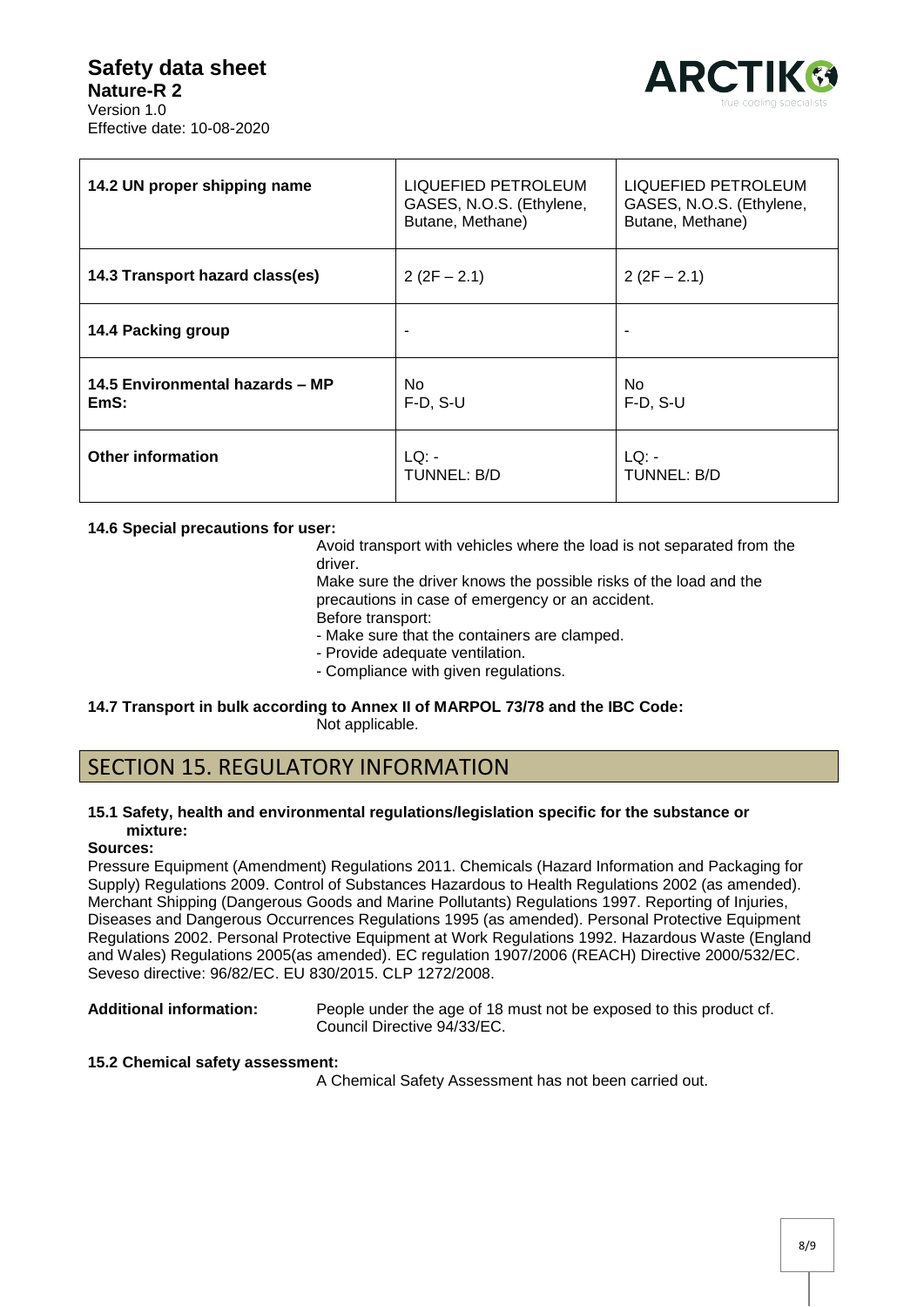### **Safety data sheet Nature-R 2** Version 1.0 Effective date: 10-08-2020



| 14.2 UN proper shipping name            | LIQUEFIED PETROLEUM<br>GASES, N.O.S. (Ethylene,<br>Butane, Methane) | LIQUEFIED PETROLEUM<br>GASES, N.O.S. (Ethylene,<br>Butane, Methane) |
|-----------------------------------------|---------------------------------------------------------------------|---------------------------------------------------------------------|
| 14.3 Transport hazard class(es)         | $2(2F - 2.1)$                                                       | $2(2F - 2.1)$                                                       |
| 14.4 Packing group                      |                                                                     |                                                                     |
| 14.5 Environmental hazards - MP<br>EmS: | No.<br>$F-D, S-U$                                                   | No.<br>$F-D, S-U$                                                   |
| <b>Other information</b>                | LO:<br>TUNNEL: B/D                                                  | LO:<br><b>TUNNEL: B/D</b>                                           |

#### **14.6 Special precautions for user:**

Avoid transport with vehicles where the load is not separated from the driver.

Make sure the driver knows the possible risks of the load and the precautions in case of emergency or an accident. Before transport:

- Make sure that the containers are clamped.

- Provide adequate ventilation.
- Compliance with given regulations.
- **14.7 Transport in bulk according to Annex II of MARPOL 73/78 and the IBC Code:**  Not applicable.

# SECTION 15. REGULATORY INFORMATION

#### **15.1 Safety, health and environmental regulations/legislation specific for the substance or mixture:**

#### **Sources:**

Pressure Equipment (Amendment) Regulations 2011. Chemicals (Hazard Information and Packaging for Supply) Regulations 2009. Control of Substances Hazardous to Health Regulations 2002 (as amended). Merchant Shipping (Dangerous Goods and Marine Pollutants) Regulations 1997. Reporting of Injuries, Diseases and Dangerous Occurrences Regulations 1995 (as amended). Personal Protective Equipment Regulations 2002. Personal Protective Equipment at Work Regulations 1992. Hazardous Waste (England and Wales) Regulations 2005(as amended). EC regulation 1907/2006 (REACH) Directive 2000/532/EC. Seveso directive: 96/82/EC. EU 830/2015. CLP 1272/2008.

**Additional information:** People under the age of 18 must not be exposed to this product cf. Council Directive 94/33/EC.

#### **15.2 Chemical safety assessment:**

A Chemical Safety Assessment has not been carried out.